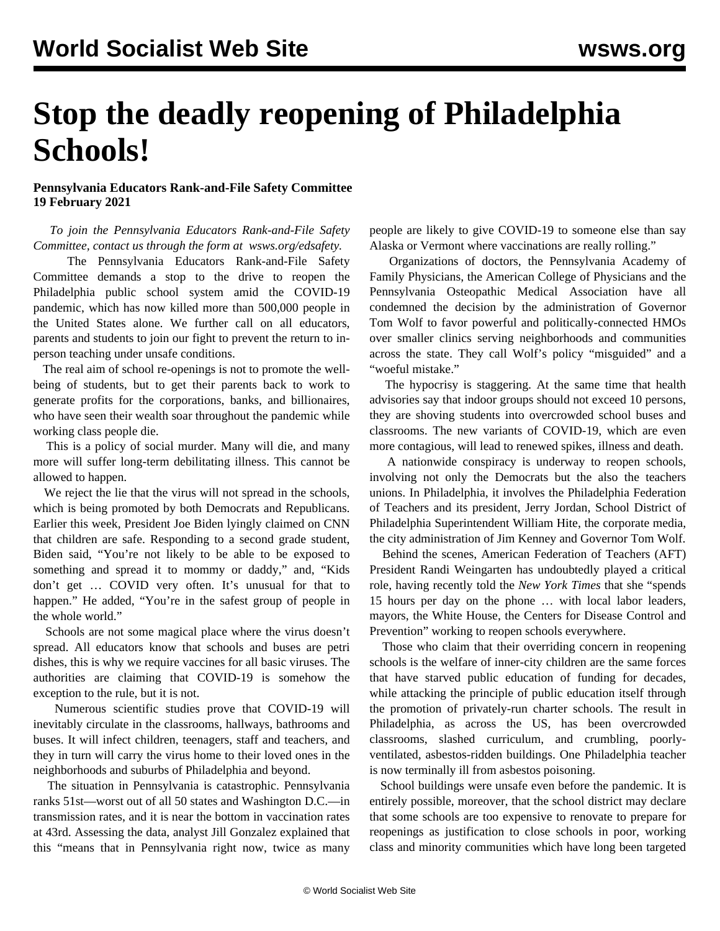## **Stop the deadly reopening of Philadelphia Schools!**

## **Pennsylvania Educators Rank-and-File Safety Committee 19 February 2021**

 *To join the Pennsylvania Educators Rank-and-File Safety Committee, contact us through the form at [wsws.org/edsafety.](/en/special/pages/educators-rank-and-file-committee.html)*

 The Pennsylvania Educators Rank-and-File Safety Committee demands a stop to the drive to reopen the Philadelphia public school system amid the COVID-19 pandemic, which has now killed more than 500,000 people in the United States alone. We further call on all educators, parents and students to [join](/en/special/pages/educators-rank-and-file-committee.html#join) our fight to prevent the return to inperson teaching under unsafe conditions.

 The real aim of school re-openings is not to promote the wellbeing of students, but to get their parents back to work to generate profits for the corporations, banks, and billionaires, who have seen their wealth soar throughout the pandemic while working class people die.

 This is a policy of social murder. Many will die, and many more will suffer long-term debilitating illness. This cannot be allowed to happen.

We reject the lie that the virus will not spread in the schools, which is being promoted by both Democrats and Republicans. Earlier this week, President Joe Biden lyingly claimed on CNN that children are safe. Responding to a second grade student, Biden said, "You're not likely to be able to be exposed to something and spread it to mommy or daddy," and, "Kids don't get … COVID very often. It's unusual for that to happen." He added, "You're in the safest group of people in the whole world."

 Schools are not some magical place where the virus doesn't spread. All educators know that schools and buses are petri dishes, this is why we require vaccines for all basic viruses. The authorities are claiming that COVID-19 is somehow the exception to the rule, but it is not.

 Numerous scientific studies prove that COVID-19 will inevitably circulate in the classrooms, hallways, bathrooms and buses. It will infect children, teenagers, staff and teachers, and they in turn will carry the virus home to their loved ones in the neighborhoods and suburbs of Philadelphia and beyond.

 The situation in Pennsylvania is catastrophic. Pennsylvania ranks 51st—worst out of all 50 states and Washington D.C.—in transmission rates, and it is near the bottom in vaccination rates at 43rd. Assessing the data, analyst Jill Gonzalez explained that this "means that in Pennsylvania right now, twice as many

people are likely to give COVID-19 to someone else than say Alaska or Vermont where vaccinations are really rolling."

 Organizations of doctors, the Pennsylvania Academy of Family Physicians, the American College of Physicians and the Pennsylvania Osteopathic Medical Association have all condemned the decision by the administration of Governor Tom Wolf to favor powerful and politically-connected HMOs over smaller clinics serving neighborhoods and communities across the state. They call Wolf's policy "misguided" and a "woeful mistake."

 The hypocrisy is staggering. At the same time that health advisories say that indoor groups should not exceed 10 persons, they are shoving students into overcrowded school buses and classrooms. The new variants of COVID-19, which are even more contagious, will lead to renewed spikes, illness and death.

 A nationwide conspiracy is underway to reopen schools, involving not only the Democrats but the also the teachers unions. In Philadelphia, it involves the Philadelphia Federation of Teachers and its president, Jerry Jordan, School District of Philadelphia Superintendent William Hite, the corporate media, the city administration of Jim Kenney and Governor Tom Wolf.

 Behind the scenes, American Federation of Teachers (AFT) President Randi Weingarten has undoubtedly played a critical role, having recently told the *New York Times* that she "spends 15 hours per day on the phone … with local labor leaders, mayors, the White House, the Centers for Disease Control and Prevention" working to reopen schools everywhere.

 Those who claim that their overriding concern in reopening schools is the welfare of inner-city children are the same forces that have starved public education of funding for decades, while attacking the principle of public education itself through the promotion of privately-run charter schools. The result in Philadelphia, as across the US, has been overcrowded classrooms, slashed curriculum, and crumbling, poorlyventilated, asbestos-ridden buildings. One Philadelphia teacher is now terminally ill from asbestos poisoning.

 School buildings were unsafe even before the pandemic. It is entirely possible, moreover, that the school district may declare that some schools are too expensive to renovate to prepare for reopenings as justification to close schools in poor, working class and minority communities which have long been targeted